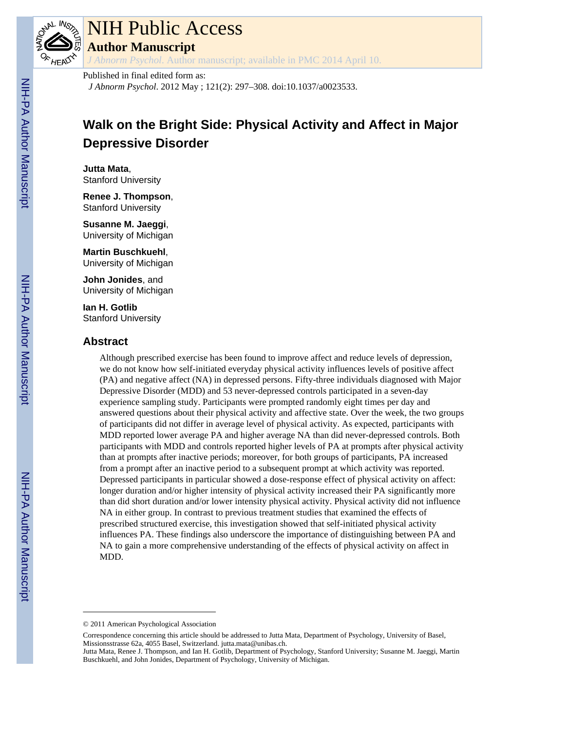

# NIH Public Access

**Author Manuscript**

*J Abnorm Psychol*. Author manuscript; available in PMC 2014 April 10.

# Published in final edited form as:

*J Abnorm Psychol*. 2012 May ; 121(2): 297–308. doi:10.1037/a0023533.

# **Walk on the Bright Side: Physical Activity and Affect in Major Depressive Disorder**

**Jutta Mata**, Stanford University

**Renee J. Thompson**, Stanford University

**Susanne M. Jaeggi**, University of Michigan

**Martin Buschkuehl**, University of Michigan

**John Jonides**, and University of Michigan

**Ian H. Gotlib** Stanford University

# **Abstract**

Although prescribed exercise has been found to improve affect and reduce levels of depression, we do not know how self-initiated everyday physical activity influences levels of positive affect (PA) and negative affect (NA) in depressed persons. Fifty-three individuals diagnosed with Major Depressive Disorder (MDD) and 53 never-depressed controls participated in a seven-day experience sampling study. Participants were prompted randomly eight times per day and answered questions about their physical activity and affective state. Over the week, the two groups of participants did not differ in average level of physical activity. As expected, participants with MDD reported lower average PA and higher average NA than did never-depressed controls. Both participants with MDD and controls reported higher levels of PA at prompts after physical activity than at prompts after inactive periods; moreover, for both groups of participants, PA increased from a prompt after an inactive period to a subsequent prompt at which activity was reported. Depressed participants in particular showed a dose-response effect of physical activity on affect: longer duration and/or higher intensity of physical activity increased their PA significantly more than did short duration and/or lower intensity physical activity. Physical activity did not influence NA in either group. In contrast to previous treatment studies that examined the effects of prescribed structured exercise, this investigation showed that self-initiated physical activity influences PA. These findings also underscore the importance of distinguishing between PA and NA to gain a more comprehensive understanding of the effects of physical activity on affect in MDD.

<sup>© 2011</sup> American Psychological Association

Correspondence concerning this article should be addressed to Jutta Mata, Department of Psychology, University of Basel, Missionsstrasse 62a, 4055 Basel, Switzerland. jutta.mata@unibas.ch.

Jutta Mata, Renee J. Thompson, and Ian H. Gotlib, Department of Psychology, Stanford University; Susanne M. Jaeggi, Martin Buschkuehl, and John Jonides, Department of Psychology, University of Michigan.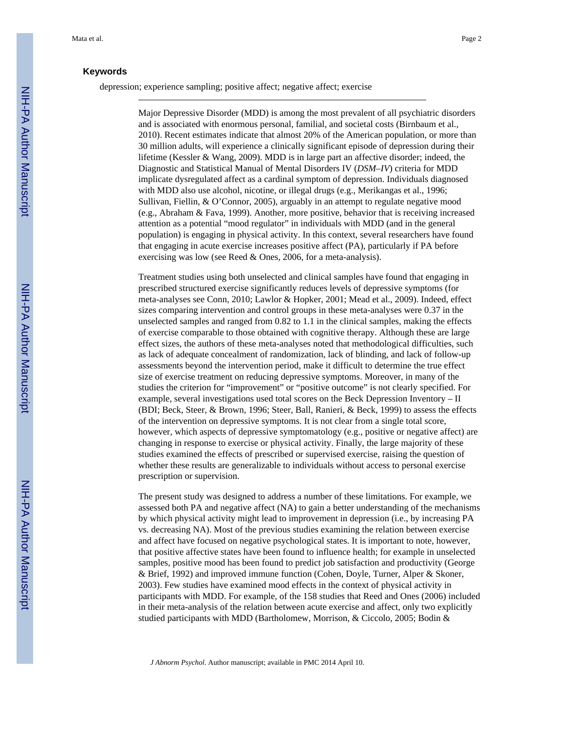# **Keywords**

depression; experience sampling; positive affect; negative affect; exercise

Major Depressive Disorder (MDD) is among the most prevalent of all psychiatric disorders and is associated with enormous personal, familial, and societal costs (Birnbaum et al., 2010). Recent estimates indicate that almost 20% of the American population, or more than 30 million adults, will experience a clinically significant episode of depression during their lifetime (Kessler & Wang, 2009). MDD is in large part an affective disorder; indeed, the Diagnostic and Statistical Manual of Mental Disorders IV (*DSM–IV*) criteria for MDD implicate dysregulated affect as a cardinal symptom of depression. Individuals diagnosed with MDD also use alcohol, nicotine, or illegal drugs (e.g., Merikangas et al., 1996; Sullivan, Fiellin, & O'Connor, 2005), arguably in an attempt to regulate negative mood (e.g., Abraham & Fava, 1999). Another, more positive, behavior that is receiving increased attention as a potential "mood regulator" in individuals with MDD (and in the general population) is engaging in physical activity. In this context, several researchers have found that engaging in acute exercise increases positive affect (PA), particularly if PA before exercising was low (see Reed & Ones, 2006, for a meta-analysis).

Treatment studies using both unselected and clinical samples have found that engaging in prescribed structured exercise significantly reduces levels of depressive symptoms (for meta-analyses see Conn, 2010; Lawlor & Hopker, 2001; Mead et al., 2009). Indeed, effect sizes comparing intervention and control groups in these meta-analyses were 0.37 in the unselected samples and ranged from 0.82 to 1.1 in the clinical samples, making the effects of exercise comparable to those obtained with cognitive therapy. Although these are large effect sizes, the authors of these meta-analyses noted that methodological difficulties, such as lack of adequate concealment of randomization, lack of blinding, and lack of follow-up assessments beyond the intervention period, make it difficult to determine the true effect size of exercise treatment on reducing depressive symptoms. Moreover, in many of the studies the criterion for "improvement" or "positive outcome" is not clearly specified. For example, several investigations used total scores on the Beck Depression Inventory – II (BDI; Beck, Steer, & Brown, 1996; Steer, Ball, Ranieri, & Beck, 1999) to assess the effects of the intervention on depressive symptoms. It is not clear from a single total score, however, which aspects of depressive symptomatology (e.g., positive or negative affect) are changing in response to exercise or physical activity. Finally, the large majority of these studies examined the effects of prescribed or supervised exercise, raising the question of whether these results are generalizable to individuals without access to personal exercise prescription or supervision.

The present study was designed to address a number of these limitations. For example, we assessed both PA and negative affect (NA) to gain a better understanding of the mechanisms by which physical activity might lead to improvement in depression (i.e., by increasing PA vs. decreasing NA). Most of the previous studies examining the relation between exercise and affect have focused on negative psychological states. It is important to note, however, that positive affective states have been found to influence health; for example in unselected samples, positive mood has been found to predict job satisfaction and productivity (George & Brief, 1992) and improved immune function (Cohen, Doyle, Turner, Alper & Skoner, 2003). Few studies have examined mood effects in the context of physical activity in participants with MDD. For example, of the 158 studies that Reed and Ones (2006) included in their meta-analysis of the relation between acute exercise and affect, only two explicitly studied participants with MDD (Bartholomew, Morrison, & Ciccolo, 2005; Bodin &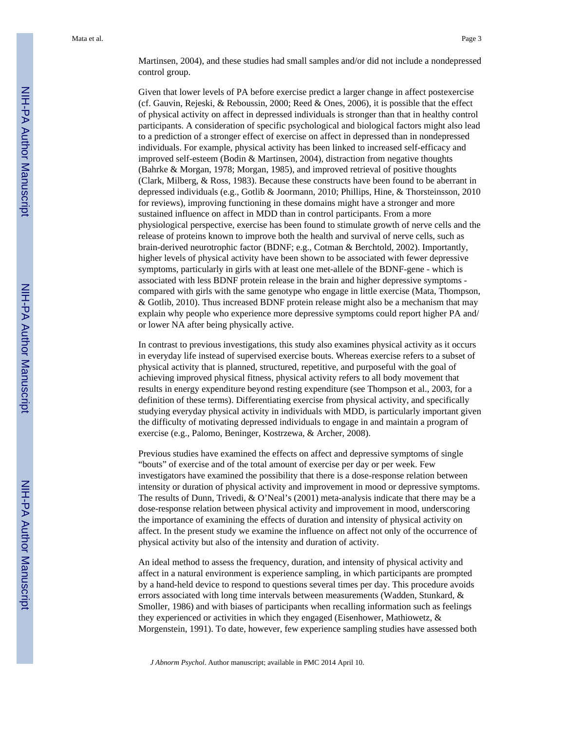Martinsen, 2004), and these studies had small samples and/or did not include a nondepressed control group.

Given that lower levels of PA before exercise predict a larger change in affect postexercise (cf. Gauvin, Rejeski, & Reboussin, 2000; Reed & Ones, 2006), it is possible that the effect of physical activity on affect in depressed individuals is stronger than that in healthy control participants. A consideration of specific psychological and biological factors might also lead to a prediction of a stronger effect of exercise on affect in depressed than in nondepressed individuals. For example, physical activity has been linked to increased self-efficacy and improved self-esteem (Bodin & Martinsen, 2004), distraction from negative thoughts (Bahrke & Morgan, 1978; Morgan, 1985), and improved retrieval of positive thoughts (Clark, Milberg, & Ross, 1983). Because these constructs have been found to be aberrant in depressed individuals (e.g., Gotlib & Joormann, 2010; Phillips, Hine, & Thorsteinsson, 2010 for reviews), improving functioning in these domains might have a stronger and more sustained influence on affect in MDD than in control participants. From a more physiological perspective, exercise has been found to stimulate growth of nerve cells and the release of proteins known to improve both the health and survival of nerve cells, such as brain-derived neurotrophic factor (BDNF; e.g., Cotman & Berchtold, 2002). Importantly, higher levels of physical activity have been shown to be associated with fewer depressive symptoms, particularly in girls with at least one met-allele of the BDNF-gene - which is associated with less BDNF protein release in the brain and higher depressive symptoms compared with girls with the same genotype who engage in little exercise (Mata, Thompson, & Gotlib, 2010). Thus increased BDNF protein release might also be a mechanism that may explain why people who experience more depressive symptoms could report higher PA and/ or lower NA after being physically active.

In contrast to previous investigations, this study also examines physical activity as it occurs in everyday life instead of supervised exercise bouts. Whereas exercise refers to a subset of physical activity that is planned, structured, repetitive, and purposeful with the goal of achieving improved physical fitness, physical activity refers to all body movement that results in energy expenditure beyond resting expenditure (see Thompson et al., 2003, for a definition of these terms). Differentiating exercise from physical activity, and specifically studying everyday physical activity in individuals with MDD, is particularly important given the difficulty of motivating depressed individuals to engage in and maintain a program of exercise (e.g., Palomo, Beninger, Kostrzewa, & Archer, 2008).

Previous studies have examined the effects on affect and depressive symptoms of single "bouts" of exercise and of the total amount of exercise per day or per week. Few investigators have examined the possibility that there is a dose-response relation between intensity or duration of physical activity and improvement in mood or depressive symptoms. The results of Dunn, Trivedi, & O'Neal's (2001) meta-analysis indicate that there may be a dose-response relation between physical activity and improvement in mood, underscoring the importance of examining the effects of duration and intensity of physical activity on affect. In the present study we examine the influence on affect not only of the occurrence of physical activity but also of the intensity and duration of activity.

An ideal method to assess the frequency, duration, and intensity of physical activity and affect in a natural environment is experience sampling, in which participants are prompted by a hand-held device to respond to questions several times per day. This procedure avoids errors associated with long time intervals between measurements (Wadden, Stunkard, & Smoller, 1986) and with biases of participants when recalling information such as feelings they experienced or activities in which they engaged (Eisenhower, Mathiowetz, & Morgenstein, 1991). To date, however, few experience sampling studies have assessed both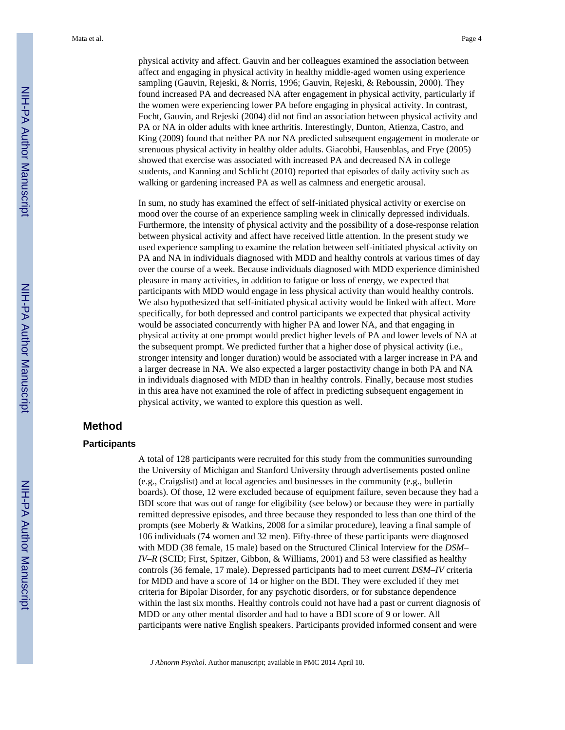physical activity and affect. Gauvin and her colleagues examined the association between affect and engaging in physical activity in healthy middle-aged women using experience sampling (Gauvin, Rejeski, & Norris, 1996; Gauvin, Rejeski, & Reboussin, 2000). They found increased PA and decreased NA after engagement in physical activity, particularly if the women were experiencing lower PA before engaging in physical activity. In contrast, Focht, Gauvin, and Rejeski (2004) did not find an association between physical activity and PA or NA in older adults with knee arthritis. Interestingly, Dunton, Atienza, Castro, and King (2009) found that neither PA nor NA predicted subsequent engagement in moderate or strenuous physical activity in healthy older adults. Giacobbi, Hausenblas, and Frye (2005) showed that exercise was associated with increased PA and decreased NA in college students, and Kanning and Schlicht (2010) reported that episodes of daily activity such as walking or gardening increased PA as well as calmness and energetic arousal.

In sum, no study has examined the effect of self-initiated physical activity or exercise on mood over the course of an experience sampling week in clinically depressed individuals. Furthermore, the intensity of physical activity and the possibility of a dose-response relation between physical activity and affect have received little attention. In the present study we used experience sampling to examine the relation between self-initiated physical activity on PA and NA in individuals diagnosed with MDD and healthy controls at various times of day over the course of a week. Because individuals diagnosed with MDD experience diminished pleasure in many activities, in addition to fatigue or loss of energy, we expected that participants with MDD would engage in less physical activity than would healthy controls. We also hypothesized that self-initiated physical activity would be linked with affect. More specifically, for both depressed and control participants we expected that physical activity would be associated concurrently with higher PA and lower NA, and that engaging in physical activity at one prompt would predict higher levels of PA and lower levels of NA at the subsequent prompt. We predicted further that a higher dose of physical activity (i.e., stronger intensity and longer duration) would be associated with a larger increase in PA and a larger decrease in NA. We also expected a larger postactivity change in both PA and NA in individuals diagnosed with MDD than in healthy controls. Finally, because most studies in this area have not examined the role of affect in predicting subsequent engagement in physical activity, we wanted to explore this question as well.

# **Method**

# **Participants**

A total of 128 participants were recruited for this study from the communities surrounding the University of Michigan and Stanford University through advertisements posted online (e.g., Craigslist) and at local agencies and businesses in the community (e.g., bulletin boards). Of those, 12 were excluded because of equipment failure, seven because they had a BDI score that was out of range for eligibility (see below) or because they were in partially remitted depressive episodes, and three because they responded to less than one third of the prompts (see Moberly & Watkins, 2008 for a similar procedure), leaving a final sample of 106 individuals (74 women and 32 men). Fifty-three of these participants were diagnosed with MDD (38 female, 15 male) based on the Structured Clinical Interview for the *DSM– IV–R* (SCID; First, Spitzer, Gibbon, & Williams, 2001) and 53 were classified as healthy controls (36 female, 17 male). Depressed participants had to meet current *DSM–IV* criteria for MDD and have a score of 14 or higher on the BDI. They were excluded if they met criteria for Bipolar Disorder, for any psychotic disorders, or for substance dependence within the last six months. Healthy controls could not have had a past or current diagnosis of MDD or any other mental disorder and had to have a BDI score of 9 or lower. All participants were native English speakers. Participants provided informed consent and were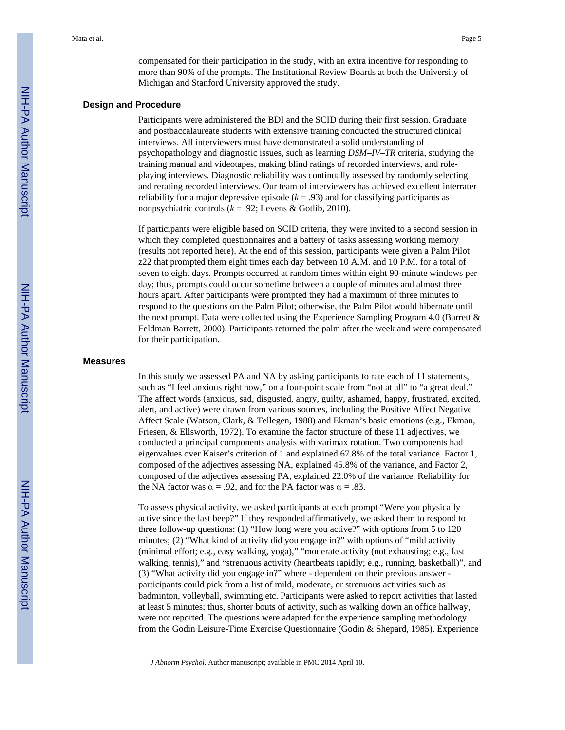compensated for their participation in the study, with an extra incentive for responding to more than 90% of the prompts. The Institutional Review Boards at both the University of Michigan and Stanford University approved the study.

#### **Design and Procedure**

Participants were administered the BDI and the SCID during their first session. Graduate and postbaccalaureate students with extensive training conducted the structured clinical interviews. All interviewers must have demonstrated a solid understanding of psychopathology and diagnostic issues, such as learning *DSM–IV–TR* criteria, studying the training manual and videotapes, making blind ratings of recorded interviews, and roleplaying interviews. Diagnostic reliability was continually assessed by randomly selecting and rerating recorded interviews. Our team of interviewers has achieved excellent interrater reliability for a major depressive episode  $(k = .93)$  and for classifying participants as nonpsychiatric controls (*k* = .92; Levens & Gotlib, 2010).

If participants were eligible based on SCID criteria, they were invited to a second session in which they completed questionnaires and a battery of tasks assessing working memory (results not reported here). At the end of this session, participants were given a Palm Pilot z22 that prompted them eight times each day between 10 A.M. and 10 P.M. for a total of seven to eight days. Prompts occurred at random times within eight 90-minute windows per day; thus, prompts could occur sometime between a couple of minutes and almost three hours apart. After participants were prompted they had a maximum of three minutes to respond to the questions on the Palm Pilot; otherwise, the Palm Pilot would hibernate until the next prompt. Data were collected using the Experience Sampling Program 4.0 (Barrett & Feldman Barrett, 2000). Participants returned the palm after the week and were compensated for their participation.

#### **Measures**

In this study we assessed PA and NA by asking participants to rate each of 11 statements, such as "I feel anxious right now," on a four-point scale from "not at all" to "a great deal." The affect words (anxious, sad, disgusted, angry, guilty, ashamed, happy, frustrated, excited, alert, and active) were drawn from various sources, including the Positive Affect Negative Affect Scale (Watson, Clark, & Tellegen, 1988) and Ekman's basic emotions (e.g., Ekman, Friesen, & Ellsworth, 1972). To examine the factor structure of these 11 adjectives, we conducted a principal components analysis with varimax rotation. Two components had eigenvalues over Kaiser's criterion of 1 and explained 67.8% of the total variance. Factor 1, composed of the adjectives assessing NA, explained 45.8% of the variance, and Factor 2, composed of the adjectives assessing PA, explained 22.0% of the variance. Reliability for the NA factor was  $\alpha = .92$ , and for the PA factor was  $\alpha = .83$ .

To assess physical activity, we asked participants at each prompt "Were you physically active since the last beep?" If they responded affirmatively, we asked them to respond to three follow-up questions: (1) "How long were you active?" with options from 5 to 120 minutes; (2) "What kind of activity did you engage in?" with options of "mild activity (minimal effort; e.g., easy walking, yoga)," "moderate activity (not exhausting; e.g., fast walking, tennis)," and "strenuous activity (heartbeats rapidly; e.g., running, basketball)", and (3) "What activity did you engage in?" where - dependent on their previous answer participants could pick from a list of mild, moderate, or strenuous activities such as badminton, volleyball, swimming etc. Participants were asked to report activities that lasted at least 5 minutes; thus, shorter bouts of activity, such as walking down an office hallway, were not reported. The questions were adapted for the experience sampling methodology from the Godin Leisure-Time Exercise Questionnaire (Godin & Shepard, 1985). Experience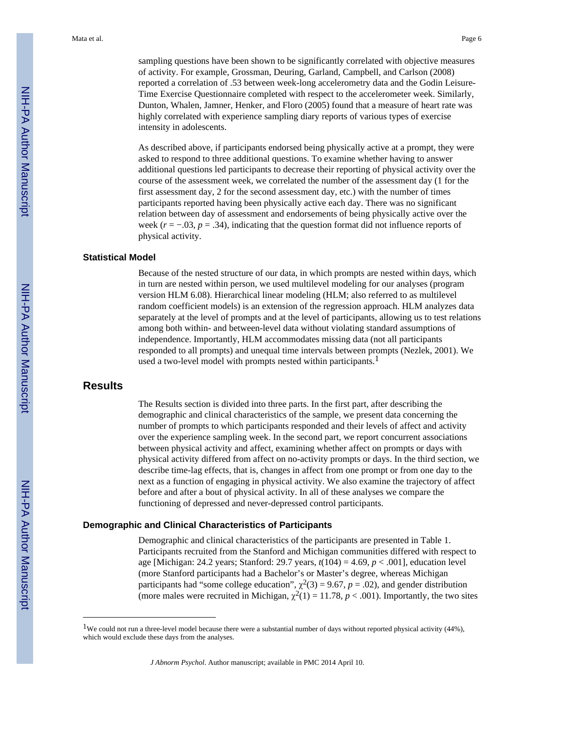sampling questions have been shown to be significantly correlated with objective measures of activity. For example, Grossman, Deuring, Garland, Campbell, and Carlson (2008) reported a correlation of .53 between week-long accelerometry data and the Godin Leisure-Time Exercise Questionnaire completed with respect to the accelerometer week. Similarly, Dunton, Whalen, Jamner, Henker, and Floro (2005) found that a measure of heart rate was highly correlated with experience sampling diary reports of various types of exercise intensity in adolescents.

As described above, if participants endorsed being physically active at a prompt, they were asked to respond to three additional questions. To examine whether having to answer additional questions led participants to decrease their reporting of physical activity over the course of the assessment week, we correlated the number of the assessment day (1 for the first assessment day, 2 for the second assessment day, etc.) with the number of times participants reported having been physically active each day. There was no significant relation between day of assessment and endorsements of being physically active over the week  $(r = -0.03, p = .34)$ , indicating that the question format did not influence reports of physical activity.

# **Statistical Model**

Because of the nested structure of our data, in which prompts are nested within days, which in turn are nested within person, we used multilevel modeling for our analyses (program version HLM 6.08). Hierarchical linear modeling (HLM; also referred to as multilevel random coefficient models) is an extension of the regression approach. HLM analyzes data separately at the level of prompts and at the level of participants, allowing us to test relations among both within- and between-level data without violating standard assumptions of independence. Importantly, HLM accommodates missing data (not all participants responded to all prompts) and unequal time intervals between prompts (Nezlek, 2001). We used a two-level model with prompts nested within participants.<sup>1</sup>

# **Results**

The Results section is divided into three parts. In the first part, after describing the demographic and clinical characteristics of the sample, we present data concerning the number of prompts to which participants responded and their levels of affect and activity over the experience sampling week. In the second part, we report concurrent associations between physical activity and affect, examining whether affect on prompts or days with physical activity differed from affect on no-activity prompts or days. In the third section, we describe time-lag effects, that is, changes in affect from one prompt or from one day to the next as a function of engaging in physical activity. We also examine the trajectory of affect before and after a bout of physical activity. In all of these analyses we compare the functioning of depressed and never-depressed control participants.

#### **Demographic and Clinical Characteristics of Participants**

Demographic and clinical characteristics of the participants are presented in Table 1. Participants recruited from the Stanford and Michigan communities differed with respect to age [Michigan: 24.2 years; Stanford: 29.7 years, *t*(104) = 4.69, *p* < .001], education level (more Stanford participants had a Bachelor's or Master's degree, whereas Michigan participants had "some college education",  $\chi^2(3) = 9.67$ ,  $p = .02$ ), and gender distribution (more males were recruited in Michigan,  $\chi^2(1) = 11.78$ ,  $p < .001$ ). Importantly, the two sites

<sup>&</sup>lt;sup>1</sup>We could not run a three-level model because there were a substantial number of days without reported physical activity (44%), which would exclude these days from the analyses.

*J Abnorm Psychol*. Author manuscript; available in PMC 2014 April 10.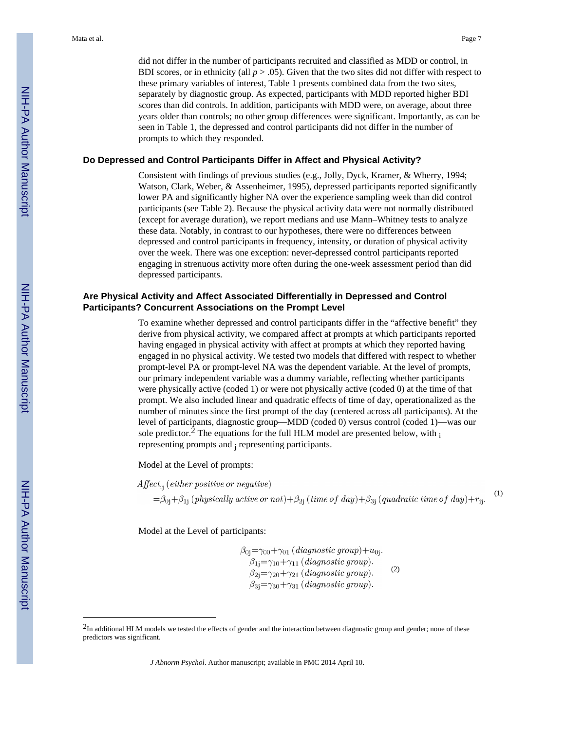did not differ in the number of participants recruited and classified as MDD or control, in BDI scores, or in ethnicity (all  $p > .05$ ). Given that the two sites did not differ with respect to these primary variables of interest, Table 1 presents combined data from the two sites, separately by diagnostic group. As expected, participants with MDD reported higher BDI scores than did controls. In addition, participants with MDD were, on average, about three years older than controls; no other group differences were significant. Importantly, as can be seen in Table 1, the depressed and control participants did not differ in the number of prompts to which they responded.

#### **Do Depressed and Control Participants Differ in Affect and Physical Activity?**

Consistent with findings of previous studies (e.g., Jolly, Dyck, Kramer, & Wherry, 1994; Watson, Clark, Weber, & Assenheimer, 1995), depressed participants reported significantly lower PA and significantly higher NA over the experience sampling week than did control participants (see Table 2). Because the physical activity data were not normally distributed (except for average duration), we report medians and use Mann–Whitney tests to analyze these data. Notably, in contrast to our hypotheses, there were no differences between depressed and control participants in frequency, intensity, or duration of physical activity over the week. There was one exception: never-depressed control participants reported engaging in strenuous activity more often during the one-week assessment period than did depressed participants.

# **Are Physical Activity and Affect Associated Differentially in Depressed and Control Participants? Concurrent Associations on the Prompt Level**

To examine whether depressed and control participants differ in the "affective benefit" they derive from physical activity, we compared affect at prompts at which participants reported having engaged in physical activity with affect at prompts at which they reported having engaged in no physical activity. We tested two models that differed with respect to whether prompt-level PA or prompt-level NA was the dependent variable. At the level of prompts, our primary independent variable was a dummy variable, reflecting whether participants were physically active (coded 1) or were not physically active (coded 0) at the time of that prompt. We also included linear and quadratic effects of time of day, operationalized as the number of minutes since the first prompt of the day (centered across all participants). At the level of participants, diagnostic group—MDD (coded 0) versus control (coded 1)—was our sole predictor. $^2$  The equations for the full HLM model are presented below, with  $\frac{1}{10}$ representing prompts and j representing participants.

Model at the Level of prompts:

# $Affect_{ii} (either positive or negative)$

 $=\beta_{0i}+\beta_{1i}$  (physically active or not) +  $\beta_{2i}$  (time of day) +  $\beta_{3i}$  (quadratic time of day) +  $r_{ii}$ .

(1)

Model at the Level of participants:

 $\beta_{0i} = \gamma_{00} + \gamma_{01}$  (diagnostic group)+u<sub>0i</sub>.  $\beta_{1i} = \gamma_{10} + \gamma_{11}$  (diagnostic group). (2)  $\beta_{2i} = \gamma_{20} + \gamma_{21} (diagnostic\ group).$  $\beta_{3j} = \gamma_{30} + \gamma_{31} (diagnostic group).$ 

<sup>&</sup>lt;sup>2</sup>In additional HLM models we tested the effects of gender and the interaction between diagnostic group and gender; none of these predictors was significant.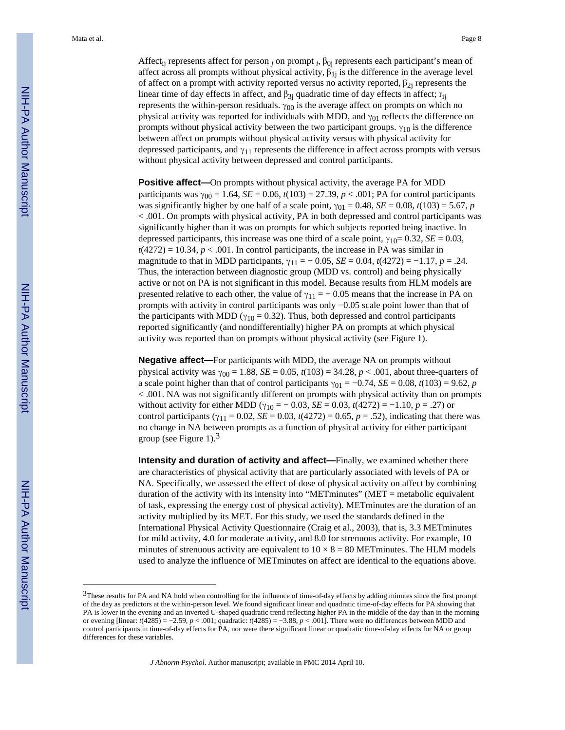Mata et al. Page 8

Affect<sub>ij</sub> represents affect for person *j* on prompt *i*, β<sub>0j</sub> represents each participant's mean of affect across all prompts without physical activity,  $\beta_{1i}$  is the difference in the average level of affect on a prompt with activity reported versus no activity reported,  $\beta_{2j}$  represents the linear time of day effects in affect, and  $\beta_{3j}$  quadratic time of day effects in affect;  $r_{ij}$ represents the within-person residuals.  $γ<sub>00</sub>$  is the average affect on prompts on which no physical activity was reported for individuals with MDD, and  $\gamma_{01}$  reflects the difference on prompts without physical activity between the two participant groups.  $\gamma_{10}$  is the difference between affect on prompts without physical activity versus with physical activity for depressed participants, and  $\gamma_{11}$  represents the difference in affect across prompts with versus without physical activity between depressed and control participants.

**Positive affect—**On prompts without physical activity, the average PA for MDD participants was  $\gamma_{00} = 1.64$ , *SE* = 0.06,  $t(103) = 27.39$ , *p* < .001; PA for control participants was significantly higher by one half of a scale point,  $\gamma_{01} = 0.48$ , *SE* = 0.08, *t*(103) = 5.67, *p* < .001. On prompts with physical activity, PA in both depressed and control participants was significantly higher than it was on prompts for which subjects reported being inactive. In depressed participants, this increase was one third of a scale point,  $\gamma_{10} = 0.32$ , *SE* = 0.03,  $t(4272) = 10.34, p < .001$ . In control participants, the increase in PA was similar in magnitude to that in MDD participants,  $\gamma_{11} = -0.05$ , *SE* = 0.04, *t*(4272) = -1.17, *p* = .24. Thus, the interaction between diagnostic group (MDD vs. control) and being physically active or not on PA is not significant in this model. Because results from HLM models are presented relative to each other, the value of  $\gamma_{11} = -0.05$  means that the increase in PA on prompts with activity in control participants was only −0.05 scale point lower than that of the participants with MDD ( $\gamma_{10} = 0.32$ ). Thus, both depressed and control participants reported significantly (and nondifferentially) higher PA on prompts at which physical activity was reported than on prompts without physical activity (see Figure 1).

**Negative affect—**For participants with MDD, the average NA on prompts without physical activity was  $\gamma_{00} = 1.88$ , *SE* = 0.05, *t*(103) = 34.28, *p* < .001, about three-quarters of a scale point higher than that of control participants  $\gamma_{01} = -0.74$ , *SE* = 0.08, *t*(103) = 9.62, *p* < .001. NA was not significantly different on prompts with physical activity than on prompts without activity for either MDD ( $\gamma_{10} = -0.03$ , *SE* = 0.03, *t*(4272) = -1.10, *p* = .27) or control participants ( $\gamma_{11} = 0.02$ , *SE* = 0.03, *t*(4272) = 0.65, *p* = .52), indicating that there was no change in NA between prompts as a function of physical activity for either participant group (see Figure 1). $3$ 

**Intensity and duration of activity and affect—**Finally, we examined whether there are characteristics of physical activity that are particularly associated with levels of PA or NA. Specifically, we assessed the effect of dose of physical activity on affect by combining duration of the activity with its intensity into "METminutes" (MET = metabolic equivalent of task, expressing the energy cost of physical activity). METminutes are the duration of an activity multiplied by its MET. For this study, we used the standards defined in the International Physical Activity Questionnaire (Craig et al., 2003), that is, 3.3 METminutes for mild activity, 4.0 for moderate activity, and 8.0 for strenuous activity. For example, 10 minutes of strenuous activity are equivalent to  $10 \times 8 = 80$  MET minutes. The HLM models used to analyze the influence of METminutes on affect are identical to the equations above.

<sup>3</sup>These results for PA and NA hold when controlling for the influence of time-of-day effects by adding minutes since the first prompt of the day as predictors at the within-person level. We found significant linear and quadratic time-of-day effects for PA showing that PA is lower in the evening and an inverted U-shaped quadratic trend reflecting higher PA in the middle of the day than in the morning or evening [linear: *t*(4285) = −2.59, *p* < .001; quadratic: *t*(4285) = −3.88, *p* < .001]. There were no differences between MDD and control participants in time-of-day effects for PA, nor were there significant linear or quadratic time-of-day effects for NA or group differences for these variables.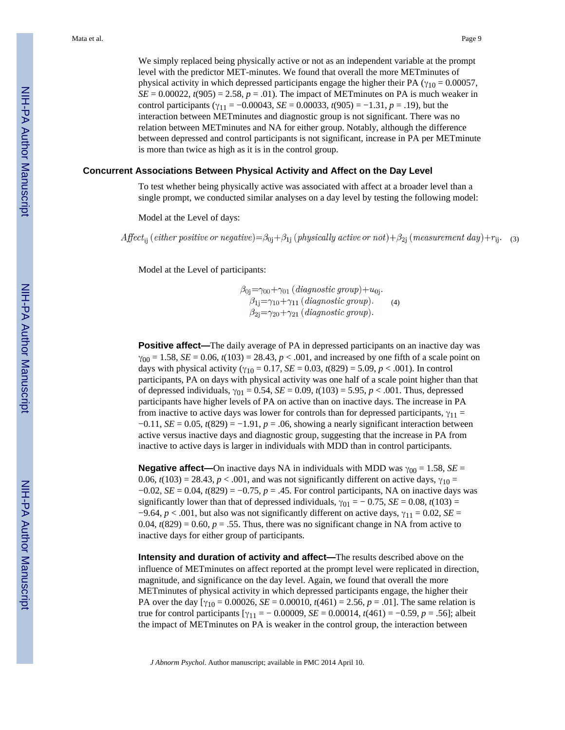We simply replaced being physically active or not as an independent variable at the prompt level with the predictor MET-minutes. We found that overall the more METminutes of physical activity in which depressed participants engage the higher their PA ( $\gamma_{10}$  = 0.00057,  $SE = 0.00022$ ,  $t(905) = 2.58$ ,  $p = .01$ ). The impact of MET minutes on PA is much weaker in control participants ( $\gamma_{11} = -0.00043$ , *SE* = 0.00033, *t*(905) = −1.31, *p* = .19), but the interaction between METminutes and diagnostic group is not significant. There was no relation between METminutes and NA for either group. Notably, although the difference between depressed and control participants is not significant, increase in PA per METminute is more than twice as high as it is in the control group.

#### **Concurrent Associations Between Physical Activity and Affect on the Day Level**

To test whether being physically active was associated with affect at a broader level than a single prompt, we conducted similar analyses on a day level by testing the following model:

Model at the Level of days:

Affect<sub>ii</sub> (either positive or negative)= $\beta_{0j} + \beta_{1j}$  (physically active or not)+ $\beta_{2j}$  (measurement day)+r<sub>ij</sub>. (3)

Model at the Level of participants:

 $\beta_{0j} = \gamma_{00} + \gamma_{01} (diagnostic \ group) + u_{0j}.$  $\beta_{1j} = \gamma_{10} + \gamma_{11} (diagnostic \ group).$ (4)  $\beta_{2i} = \gamma_{20} + \gamma_{21}$  (diagnostic group).

**Positive affect—**The daily average of PA in depressed participants on an inactive day was  $\gamma_{00} = 1.58$ , *SE* = 0.06,  $t(103) = 28.43$ ,  $p < .001$ , and increased by one fifth of a scale point on days with physical activity ( $\gamma_{10} = 0.17$ , *SE* = 0.03, *t*(829) = 5.09, *p* < .001). In control participants, PA on days with physical activity was one half of a scale point higher than that of depressed individuals, γ01 = 0.54, *SE* = 0.09, *t*(103) = 5.95, *p* < .001. Thus, depressed participants have higher levels of PA on active than on inactive days. The increase in PA from inactive to active days was lower for controls than for depressed participants,  $\gamma_{11}$  = −0.11, *SE* = 0.05, *t*(829) = −1.91, *p* = .06, showing a nearly significant interaction between active versus inactive days and diagnostic group, suggesting that the increase in PA from inactive to active days is larger in individuals with MDD than in control participants.

**Negative affect—**On inactive days NA in individuals with MDD was  $\gamma_{00} = 1.58$ , *SE* = 0.06,  $t(103) = 28.43$ ,  $p < .001$ , and was not significantly different on active days,  $\gamma_{10} =$ −0.02, *SE* = 0.04, *t*(829) = −0.75, *p* = .45. For control participants, NA on inactive days was significantly lower than that of depressed individuals,  $\gamma_{01} = -0.75$ , *SE* = 0.08, *t*(103) =  $-9.64$ ,  $p < .001$ , but also was not significantly different on active days,  $\gamma_{11} = 0.02$ , *SE* = 0.04,  $t(829) = 0.60$ ,  $p = .55$ . Thus, there was no significant change in NA from active to inactive days for either group of participants.

**Intensity and duration of activity and affect—**The results described above on the influence of METminutes on affect reported at the prompt level were replicated in direction, magnitude, and significance on the day level. Again, we found that overall the more METminutes of physical activity in which depressed participants engage, the higher their PA over the day  $[\gamma_{10} = 0.00026, SE = 0.00010, t(461) = 2.56, p = .01]$ . The same relation is true for control participants [γ11 = − 0.00009, *SE* = 0.00014, *t*(461) = −0.59, *p* = .56]; albeit the impact of METminutes on PA is weaker in the control group, the interaction between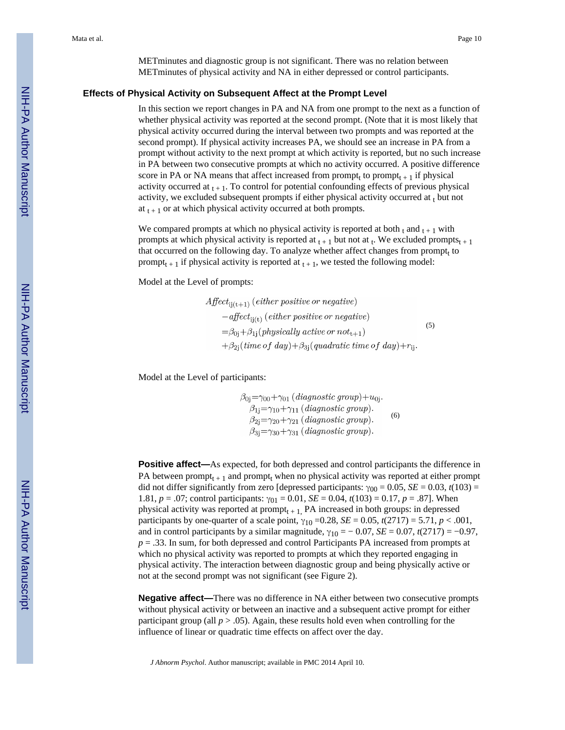METminutes and diagnostic group is not significant. There was no relation between METminutes of physical activity and NA in either depressed or control participants.

#### **Effects of Physical Activity on Subsequent Affect at the Prompt Level**

In this section we report changes in PA and NA from one prompt to the next as a function of whether physical activity was reported at the second prompt. (Note that it is most likely that physical activity occurred during the interval between two prompts and was reported at the second prompt). If physical activity increases PA, we should see an increase in PA from a prompt without activity to the next prompt at which activity is reported, but no such increase in PA between two consecutive prompts at which no activity occurred. A positive difference score in PA or NA means that affect increased from prompt<sub>t</sub> to prompt<sub>t + 1</sub> if physical activity occurred at  $t_{t+1}$ . To control for potential confounding effects of previous physical activity, we excluded subsequent prompts if either physical activity occurred at  $_t$  but not at  $t_{t+1}$  or at which physical activity occurred at both prompts.

We compared prompts at which no physical activity is reported at both  $_t$  and  $_{t+1}$  with prompts at which physical activity is reported at  $_{t+1}$  but not at  $_t$ . We excluded prompts<sub>t + 1</sub> that occurred on the following day. To analyze whether affect changes from prompt<sub>t</sub> to prompt<sub>t + 1</sub> if physical activity is reported at  $_{t+1}$ , we tested the following model:

Model at the Level of prompts:

$$
Affect_{ij(t+1)} (either positive or negative)
$$
  
\n
$$
-affect_{ij(t)} (either positive or negative)
$$
  
\n
$$
= \beta_{0j} + \beta_{1j}(physically active or not_{t+1})
$$
  
\n
$$
+ \beta_{2j}(time of day) + \beta_{3j}(quadratic time of day) + r_{ij}.
$$
\n(5)

Model at the Level of participants:

$$
\beta_{0j} = \gamma_{00} + \gamma_{01} (diagnostic group) + u_{0j}.
$$
  
\n
$$
\beta_{1j} = \gamma_{10} + \gamma_{11} (diagnostic group).
$$
  
\n
$$
\beta_{2j} = \gamma_{20} + \gamma_{21} (diagnostic group).
$$
  
\n
$$
\beta_{3j} = \gamma_{30} + \gamma_{31} (diagnostic group).
$$
  
\n(6)

**Positive affect—**As expected, for both depressed and control participants the difference in PA between prompt<sub>t + 1</sub> and prompt<sub>t</sub> when no physical activity was reported at either prompt did not differ significantly from zero [depressed participants:  $γ_{00} = 0.05$ , *SE* = 0.03, *t*(103) = 1.81,  $p = .07$ ; control participants:  $\gamma_{01} = 0.01$ ,  $SE = 0.04$ ,  $t(103) = 0.17$ ,  $p = .87$ ]. When physical activity was reported at  $prompt_{t+1}$ . PA increased in both groups: in depressed participants by one-quarter of a scale point,  $γ_{10} = 0.28$ , *SE* = 0.05, *t*(2717) = 5.71, *p* < .001, and in control participants by a similar magnitude,  $\gamma_{10} = -0.07$ , *SE* = 0.07, *t*(2717) = -0.97, *p* = .33. In sum, for both depressed and control Participants PA increased from prompts at which no physical activity was reported to prompts at which they reported engaging in physical activity. The interaction between diagnostic group and being physically active or not at the second prompt was not significant (see Figure 2).

**Negative affect—**There was no difference in NA either between two consecutive prompts without physical activity or between an inactive and a subsequent active prompt for either participant group (all  $p > .05$ ). Again, these results hold even when controlling for the influence of linear or quadratic time effects on affect over the day.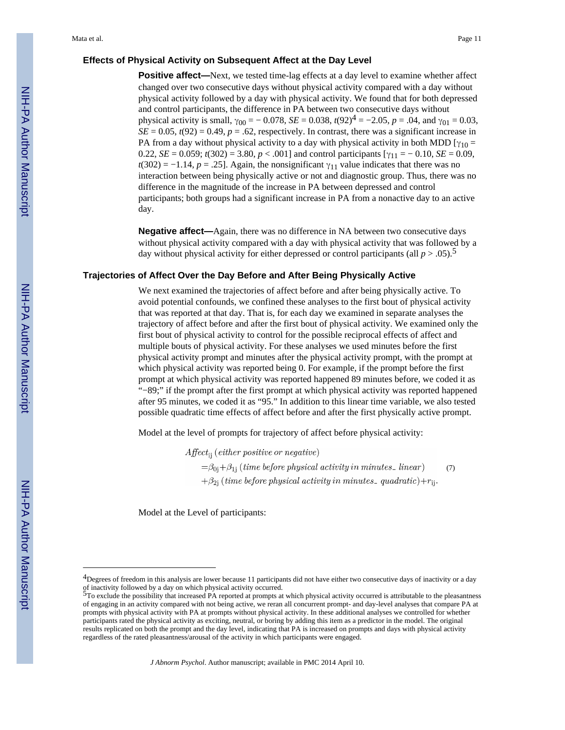# **Effects of Physical Activity on Subsequent Affect at the Day Level**

Positive affect—Next, we tested time-lag effects at a day level to examine whether affect changed over two consecutive days without physical activity compared with a day without physical activity followed by a day with physical activity. We found that for both depressed and control participants, the difference in PA between two consecutive days without physical activity is small,  $\gamma_{00} = -0.078$ ,  $SE = 0.038$ ,  $t(92)^4 = -2.05$ ,  $p = .04$ , and  $\gamma_{01} = 0.03$ ,  $SE = 0.05$ ,  $t(92) = 0.49$ ,  $p = .62$ , respectively. In contrast, there was a significant increase in PA from a day without physical activity to a day with physical activity in both MDD [ $\gamma_{10}$  = 0.22,  $SE = 0.059$ ;  $t(302) = 3.80$ ,  $p < .001$ ] and control participants  $[\gamma_{11} = -0.10, SE = 0.09]$ ,  $t(302) = -1.14$ ,  $p = .25$ ]. Again, the nonsignificant  $\gamma_{11}$  value indicates that there was no interaction between being physically active or not and diagnostic group. Thus, there was no difference in the magnitude of the increase in PA between depressed and control participants; both groups had a significant increase in PA from a nonactive day to an active day.

**Negative affect—**Again, there was no difference in NA between two consecutive days without physical activity compared with a day with physical activity that was followed by a day without physical activity for either depressed or control participants (all  $p > .05$ ).<sup>5</sup>

# **Trajectories of Affect Over the Day Before and After Being Physically Active**

We next examined the trajectories of affect before and after being physically active. To avoid potential confounds, we confined these analyses to the first bout of physical activity that was reported at that day. That is, for each day we examined in separate analyses the trajectory of affect before and after the first bout of physical activity. We examined only the first bout of physical activity to control for the possible reciprocal effects of affect and multiple bouts of physical activity. For these analyses we used minutes before the first physical activity prompt and minutes after the physical activity prompt, with the prompt at which physical activity was reported being 0. For example, if the prompt before the first prompt at which physical activity was reported happened 89 minutes before, we coded it as "−89;" if the prompt after the first prompt at which physical activity was reported happened after 95 minutes, we coded it as "95." In addition to this linear time variable, we also tested possible quadratic time effects of affect before and after the first physically active prompt.

Model at the level of prompts for trajectory of affect before physical activity:

 $Affect_{ii}$  (either positive or negative)  $=\beta_{0i}+\beta_{1i}$  (time before physical activity in minutes\_linear) (7)  $+\beta_{2i}$  (time before physical activity in minutes\_quadratic)+r<sub>ij</sub>.

Model at the Level of participants:

<sup>&</sup>lt;sup>4</sup>Degrees of freedom in this analysis are lower because 11 participants did not have either two consecutive days of inactivity or a day of inactivity followed by a day on which physical activity occurred.<br><sup>5</sup>To exclude the possibility that increased PA reported at prompts at which physical activity occurred is attributable to the pleasantness

of engaging in an activity compared with not being active, we reran all concurrent prompt- and day-level analyses that compare PA at prompts with physical activity with PA at prompts without physical activity. In these additional analyses we controlled for whether participants rated the physical activity as exciting, neutral, or boring by adding this item as a predictor in the model. The original results replicated on both the prompt and the day level, indicating that PA is increased on prompts and days with physical activity regardless of the rated pleasantness/arousal of the activity in which participants were engaged.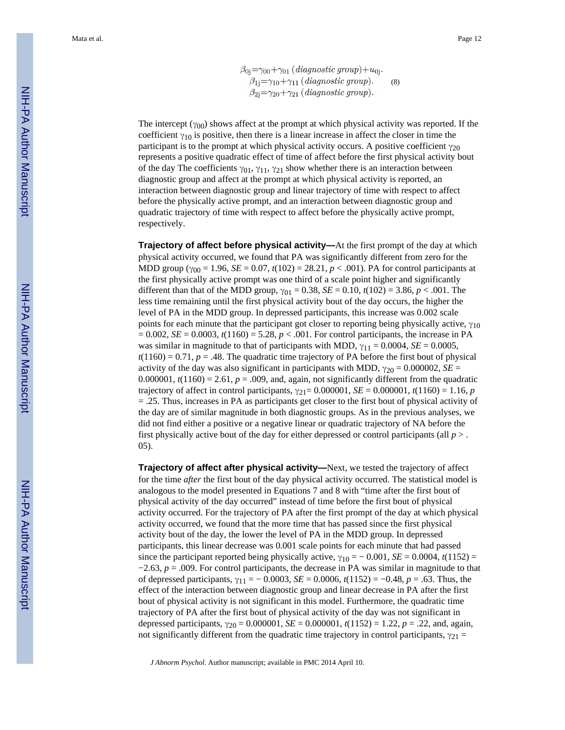$\beta_{0} = \gamma_{00} + \gamma_{01} (diagnostic group) + u_{0i}.$  $\beta_{1j} = \gamma_{10} + \gamma_{11} (diagnostic\ group).$ (8)  $\beta_{2i} = \gamma_{20} + \gamma_{21}$  (diagnostic group).

The intercept ( $\gamma_{00}$ ) shows affect at the prompt at which physical activity was reported. If the coefficient  $\gamma_{10}$  is positive, then there is a linear increase in affect the closer in time the participant is to the prompt at which physical activity occurs. A positive coefficient  $\gamma_{20}$ represents a positive quadratic effect of time of affect before the first physical activity bout of the day The coefficients  $\gamma_{01}$ ,  $\gamma_{11}$ ,  $\gamma_{21}$  show whether there is an interaction between diagnostic group and affect at the prompt at which physical activity is reported, an interaction between diagnostic group and linear trajectory of time with respect to affect before the physically active prompt, and an interaction between diagnostic group and quadratic trajectory of time with respect to affect before the physically active prompt, respectively.

**Trajectory of affect before physical activity—**At the first prompt of the day at which physical activity occurred, we found that PA was significantly different from zero for the MDD group ( $\gamma_{00}$  = 1.96, *SE* = 0.07, *t*(102) = 28.21, *p* < .001). PA for control participants at the first physically active prompt was one third of a scale point higher and significantly different than that of the MDD group,  $\gamma_{01} = 0.38$ , *SE* = 0.10,  $t(102) = 3.86$ , *p* < .001. The less time remaining until the first physical activity bout of the day occurs, the higher the level of PA in the MDD group. In depressed participants, this increase was 0.002 scale points for each minute that the participant got closer to reporting being physically active,  $\gamma_{10}$  $= 0.002$ , *SE* = 0.0003,  $t(1160) = 5.28$ ,  $p < .001$ . For control participants, the increase in PA was similar in magnitude to that of participants with MDD,  $\gamma_{11} = 0.0004$ , *SE* = 0.0005,  $t(1160) = 0.71$ ,  $p = .48$ . The quadratic time trajectory of PA before the first bout of physical activity of the day was also significant in participants with MDD,  $\gamma_{20} = 0.000002$ , *SE* =  $0.000001$ ,  $t(1160) = 2.61$ ,  $p = .009$ , and, again, not significantly different from the quadratic trajectory of affect in control participants,  $\gamma_{21} = 0.000001$ , *SE* = 0.000001, *t*(1160) = 1.16, *p* = .25. Thus, increases in PA as participants get closer to the first bout of physical activity of the day are of similar magnitude in both diagnostic groups. As in the previous analyses, we did not find either a positive or a negative linear or quadratic trajectory of NA before the first physically active bout of the day for either depressed or control participants (all  $p >$ . 05).

**Trajectory of affect after physical activity—**Next, we tested the trajectory of affect for the time *after* the first bout of the day physical activity occurred. The statistical model is analogous to the model presented in Equations 7 and 8 with "time after the first bout of physical activity of the day occurred" instead of time before the first bout of physical activity occurred. For the trajectory of PA after the first prompt of the day at which physical activity occurred, we found that the more time that has passed since the first physical activity bout of the day, the lower the level of PA in the MDD group. In depressed participants, this linear decrease was 0.001 scale points for each minute that had passed since the participant reported being physically active,  $\gamma_{10} = -0.001$ , *SE* = 0.0004, *t*(1152) = −2.63, *p* = .009. For control participants, the decrease in PA was similar in magnitude to that of depressed participants, γ11 = − 0.0003, *SE* = 0.0006, *t*(1152) = −0.48, *p* = .63. Thus, the effect of the interaction between diagnostic group and linear decrease in PA after the first bout of physical activity is not significant in this model. Furthermore, the quadratic time trajectory of PA after the first bout of physical activity of the day was not significant in depressed participants,  $\gamma_{20} = 0.000001$ ,  $SE = 0.000001$ ,  $t(1152) = 1.22$ ,  $p = .22$ , and, again, not significantly different from the quadratic time trajectory in control participants,  $\gamma_{21}$  =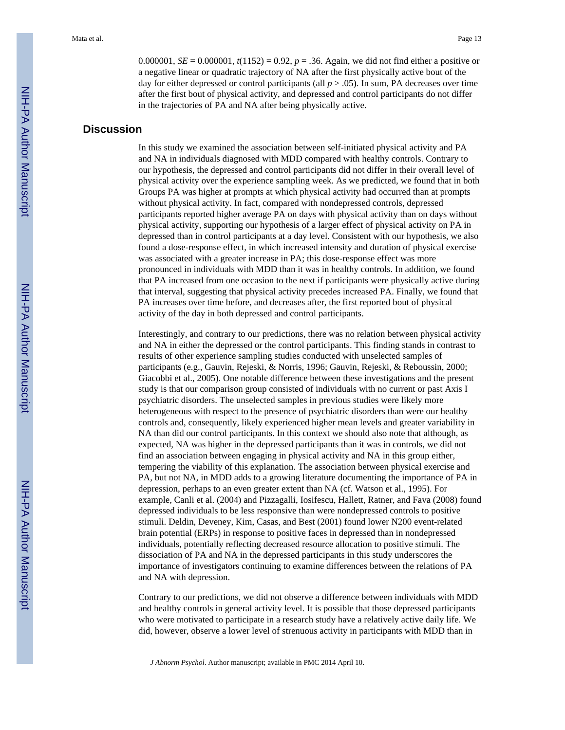0.000001,  $SE = 0.000001$ ,  $t(1152) = 0.92$ ,  $p = 0.36$ . Again, we did not find either a positive or a negative linear or quadratic trajectory of NA after the first physically active bout of the day for either depressed or control participants (all  $p > .05$ ). In sum, PA decreases over time after the first bout of physical activity, and depressed and control participants do not differ in the trajectories of PA and NA after being physically active.

# **Discussion**

In this study we examined the association between self-initiated physical activity and PA and NA in individuals diagnosed with MDD compared with healthy controls. Contrary to our hypothesis, the depressed and control participants did not differ in their overall level of physical activity over the experience sampling week. As we predicted, we found that in both Groups PA was higher at prompts at which physical activity had occurred than at prompts without physical activity. In fact, compared with nondepressed controls, depressed participants reported higher average PA on days with physical activity than on days without physical activity, supporting our hypothesis of a larger effect of physical activity on PA in depressed than in control participants at a day level. Consistent with our hypothesis, we also found a dose-response effect, in which increased intensity and duration of physical exercise was associated with a greater increase in PA; this dose-response effect was more pronounced in individuals with MDD than it was in healthy controls. In addition, we found that PA increased from one occasion to the next if participants were physically active during that interval, suggesting that physical activity precedes increased PA. Finally, we found that PA increases over time before, and decreases after, the first reported bout of physical activity of the day in both depressed and control participants.

Interestingly, and contrary to our predictions, there was no relation between physical activity and NA in either the depressed or the control participants. This finding stands in contrast to results of other experience sampling studies conducted with unselected samples of participants (e.g., Gauvin, Rejeski, & Norris, 1996; Gauvin, Rejeski, & Reboussin, 2000; Giacobbi et al., 2005). One notable difference between these investigations and the present study is that our comparison group consisted of individuals with no current or past Axis I psychiatric disorders. The unselected samples in previous studies were likely more heterogeneous with respect to the presence of psychiatric disorders than were our healthy controls and, consequently, likely experienced higher mean levels and greater variability in NA than did our control participants. In this context we should also note that although, as expected, NA was higher in the depressed participants than it was in controls, we did not find an association between engaging in physical activity and NA in this group either, tempering the viability of this explanation. The association between physical exercise and PA, but not NA, in MDD adds to a growing literature documenting the importance of PA in depression, perhaps to an even greater extent than NA (cf. Watson et al., 1995). For example, Canli et al. (2004) and Pizzagalli, Iosifescu, Hallett, Ratner, and Fava (2008) found depressed individuals to be less responsive than were nondepressed controls to positive stimuli. Deldin, Deveney, Kim, Casas, and Best (2001) found lower N200 event-related brain potential (ERPs) in response to positive faces in depressed than in nondepressed individuals, potentially reflecting decreased resource allocation to positive stimuli. The dissociation of PA and NA in the depressed participants in this study underscores the importance of investigators continuing to examine differences between the relations of PA and NA with depression.

Contrary to our predictions, we did not observe a difference between individuals with MDD and healthy controls in general activity level. It is possible that those depressed participants who were motivated to participate in a research study have a relatively active daily life. We did, however, observe a lower level of strenuous activity in participants with MDD than in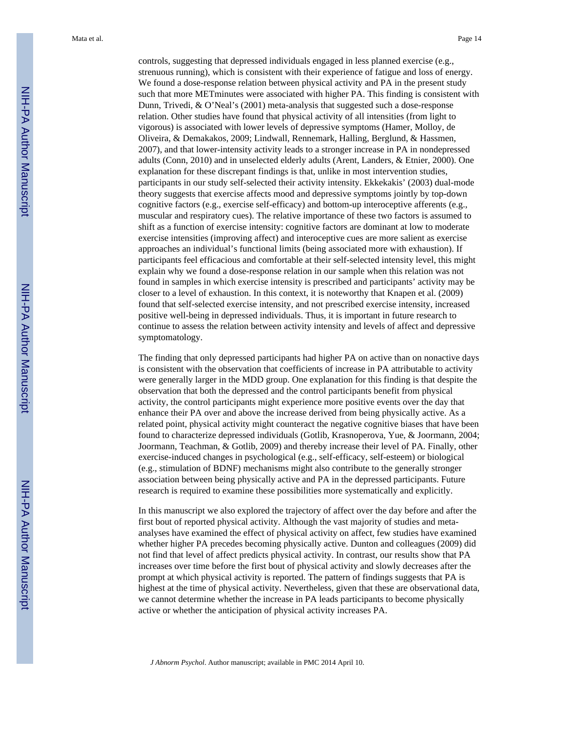Mata et al. Page 14

controls, suggesting that depressed individuals engaged in less planned exercise (e.g., strenuous running), which is consistent with their experience of fatigue and loss of energy. We found a dose-response relation between physical activity and PA in the present study such that more METminutes were associated with higher PA. This finding is consistent with Dunn, Trivedi, & O'Neal's (2001) meta-analysis that suggested such a dose-response relation. Other studies have found that physical activity of all intensities (from light to vigorous) is associated with lower levels of depressive symptoms (Hamer, Molloy, de Oliveira, & Demakakos, 2009; Lindwall, Rennemark, Halling, Berglund, & Hassmen, 2007), and that lower-intensity activity leads to a stronger increase in PA in nondepressed adults (Conn, 2010) and in unselected elderly adults (Arent, Landers, & Etnier, 2000). One explanation for these discrepant findings is that, unlike in most intervention studies, participants in our study self-selected their activity intensity. Ekkekakis' (2003) dual-mode theory suggests that exercise affects mood and depressive symptoms jointly by top-down cognitive factors (e.g., exercise self-efficacy) and bottom-up interoceptive afferents (e.g., muscular and respiratory cues). The relative importance of these two factors is assumed to shift as a function of exercise intensity: cognitive factors are dominant at low to moderate exercise intensities (improving affect) and interoceptive cues are more salient as exercise approaches an individual's functional limits (being associated more with exhaustion). If participants feel efficacious and comfortable at their self-selected intensity level, this might explain why we found a dose-response relation in our sample when this relation was not found in samples in which exercise intensity is prescribed and participants' activity may be closer to a level of exhaustion. In this context, it is noteworthy that Knapen et al. (2009) found that self-selected exercise intensity, and not prescribed exercise intensity, increased positive well-being in depressed individuals. Thus, it is important in future research to continue to assess the relation between activity intensity and levels of affect and depressive symptomatology.

The finding that only depressed participants had higher PA on active than on nonactive days is consistent with the observation that coefficients of increase in PA attributable to activity were generally larger in the MDD group. One explanation for this finding is that despite the observation that both the depressed and the control participants benefit from physical activity, the control participants might experience more positive events over the day that enhance their PA over and above the increase derived from being physically active. As a related point, physical activity might counteract the negative cognitive biases that have been found to characterize depressed individuals (Gotlib, Krasnoperova, Yue, & Joormann, 2004; Joormann, Teachman, & Gotlib, 2009) and thereby increase their level of PA. Finally, other exercise-induced changes in psychological (e.g., self-efficacy, self-esteem) or biological (e.g., stimulation of BDNF) mechanisms might also contribute to the generally stronger association between being physically active and PA in the depressed participants. Future research is required to examine these possibilities more systematically and explicitly.

In this manuscript we also explored the trajectory of affect over the day before and after the first bout of reported physical activity. Although the vast majority of studies and metaanalyses have examined the effect of physical activity on affect, few studies have examined whether higher PA precedes becoming physically active. Dunton and colleagues (2009) did not find that level of affect predicts physical activity. In contrast, our results show that PA increases over time before the first bout of physical activity and slowly decreases after the prompt at which physical activity is reported. The pattern of findings suggests that PA is highest at the time of physical activity. Nevertheless, given that these are observational data, we cannot determine whether the increase in PA leads participants to become physically active or whether the anticipation of physical activity increases PA.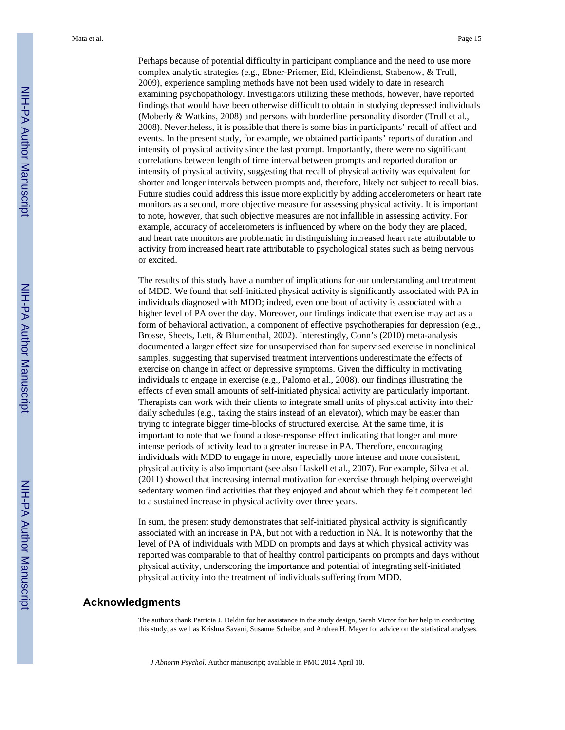Perhaps because of potential difficulty in participant compliance and the need to use more complex analytic strategies (e.g., Ebner-Priemer, Eid, Kleindienst, Stabenow, & Trull, 2009), experience sampling methods have not been used widely to date in research examining psychopathology. Investigators utilizing these methods, however, have reported findings that would have been otherwise difficult to obtain in studying depressed individuals (Moberly & Watkins, 2008) and persons with borderline personality disorder (Trull et al., 2008). Nevertheless, it is possible that there is some bias in participants' recall of affect and events. In the present study, for example, we obtained participants' reports of duration and intensity of physical activity since the last prompt. Importantly, there were no significant correlations between length of time interval between prompts and reported duration or intensity of physical activity, suggesting that recall of physical activity was equivalent for shorter and longer intervals between prompts and, therefore, likely not subject to recall bias. Future studies could address this issue more explicitly by adding accelerometers or heart rate monitors as a second, more objective measure for assessing physical activity. It is important to note, however, that such objective measures are not infallible in assessing activity. For example, accuracy of accelerometers is influenced by where on the body they are placed, and heart rate monitors are problematic in distinguishing increased heart rate attributable to activity from increased heart rate attributable to psychological states such as being nervous or excited.

The results of this study have a number of implications for our understanding and treatment of MDD. We found that self-initiated physical activity is significantly associated with PA in individuals diagnosed with MDD; indeed, even one bout of activity is associated with a higher level of PA over the day. Moreover, our findings indicate that exercise may act as a form of behavioral activation, a component of effective psychotherapies for depression (e.g., Brosse, Sheets, Lett, & Blumenthal, 2002). Interestingly, Conn's (2010) meta-analysis documented a larger effect size for unsupervised than for supervised exercise in nonclinical samples, suggesting that supervised treatment interventions underestimate the effects of exercise on change in affect or depressive symptoms. Given the difficulty in motivating individuals to engage in exercise (e.g., Palomo et al., 2008), our findings illustrating the effects of even small amounts of self-initiated physical activity are particularly important. Therapists can work with their clients to integrate small units of physical activity into their daily schedules (e.g., taking the stairs instead of an elevator), which may be easier than trying to integrate bigger time-blocks of structured exercise. At the same time, it is important to note that we found a dose-response effect indicating that longer and more intense periods of activity lead to a greater increase in PA. Therefore, encouraging individuals with MDD to engage in more, especially more intense and more consistent, physical activity is also important (see also Haskell et al., 2007). For example, Silva et al. (2011) showed that increasing internal motivation for exercise through helping overweight sedentary women find activities that they enjoyed and about which they felt competent led to a sustained increase in physical activity over three years.

In sum, the present study demonstrates that self-initiated physical activity is significantly associated with an increase in PA, but not with a reduction in NA. It is noteworthy that the level of PA of individuals with MDD on prompts and days at which physical activity was reported was comparable to that of healthy control participants on prompts and days without physical activity, underscoring the importance and potential of integrating self-initiated physical activity into the treatment of individuals suffering from MDD.

# **Acknowledgments**

The authors thank Patricia J. Deldin for her assistance in the study design, Sarah Victor for her help in conducting this study, as well as Krishna Savani, Susanne Scheibe, and Andrea H. Meyer for advice on the statistical analyses.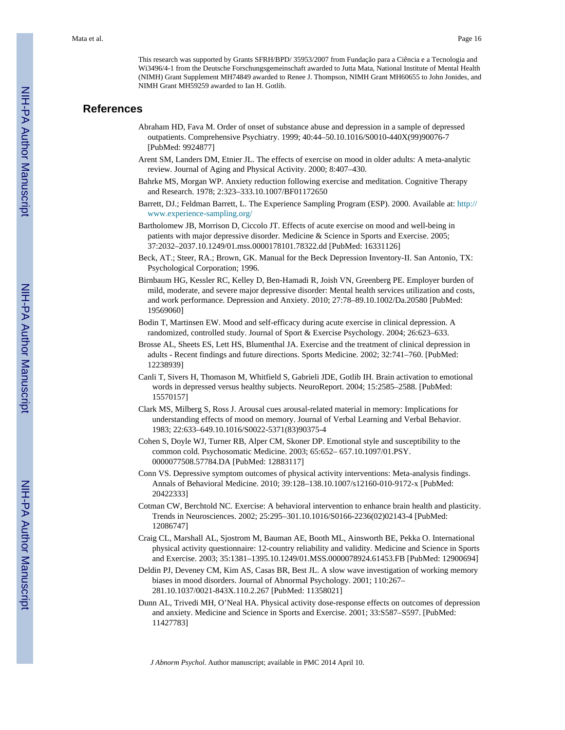This research was supported by Grants SFRH/BPD/ 35953/2007 from Fundação para a Ciência e a Tecnologia and Wi3496/4-1 from the Deutsche Forschungsgemeinschaft awarded to Jutta Mata, National Institute of Mental Health (NIMH) Grant Supplement MH74849 awarded to Renee J. Thompson, NIMH Grant MH60655 to John Jonides, and NIMH Grant MH59259 awarded to Ian H. Gotlib.

# **References**

- Abraham HD, Fava M. Order of onset of substance abuse and depression in a sample of depressed outpatients. Comprehensive Psychiatry. 1999; 40:44–50.10.1016/S0010-440X(99)90076-7 [PubMed: 9924877]
- Arent SM, Landers DM, Etnier JL. The effects of exercise on mood in older adults: A meta-analytic review. Journal of Aging and Physical Activity. 2000; 8:407–430.
- Bahrke MS, Morgan WP. Anxiety reduction following exercise and meditation. Cognitive Therapy and Research. 1978; 2:323–333.10.1007/BF01172650
- Barrett, DJ.; Feldman Barrett, L. The Experience Sampling Program (ESP). 2000. Available at: [http://](http://www.experience-sampling.org/) [www.experience-sampling.org/](http://www.experience-sampling.org/)
- Bartholomew JB, Morrison D, Ciccolo JT. Effects of acute exercise on mood and well-being in patients with major depressive disorder. Medicine & Science in Sports and Exercise. 2005; 37:2032–2037.10.1249/01.mss.0000178101.78322.dd [PubMed: 16331126]
- Beck, AT.; Steer, RA.; Brown, GK. Manual for the Beck Depression Inventory-II. San Antonio, TX: Psychological Corporation; 1996.
- Birnbaum HG, Kessler RC, Kelley D, Ben-Hamadi R, Joish VN, Greenberg PE. Employer burden of mild, moderate, and severe major depressive disorder: Mental health services utilization and costs, and work performance. Depression and Anxiety. 2010; 27:78–89.10.1002/Da.20580 [PubMed: 19569060]
- Bodin T, Martinsen EW. Mood and self-efficacy during acute exercise in clinical depression. A randomized, controlled study. Journal of Sport & Exercise Psychology. 2004; 26:623–633.
- Brosse AL, Sheets ES, Lett HS, Blumenthal JA. Exercise and the treatment of clinical depression in adults - Recent findings and future directions. Sports Medicine. 2002; 32:741–760. [PubMed: 12238939]
- Canli T, Sivers H, Thomason M, Whitfield S, Gabrieli JDE, Gotlib IH. Brain activation to emotional words in depressed versus healthy subjects. NeuroReport. 2004; 15:2585–2588. [PubMed: 15570157]
- Clark MS, Milberg S, Ross J. Arousal cues arousal-related material in memory: Implications for understanding effects of mood on memory. Journal of Verbal Learning and Verbal Behavior. 1983; 22:633–649.10.1016/S0022-5371(83)90375-4
- Cohen S, Doyle WJ, Turner RB, Alper CM, Skoner DP. Emotional style and susceptibility to the common cold. Psychosomatic Medicine. 2003; 65:652– 657.10.1097/01.PSY. 0000077508.57784.DA [PubMed: 12883117]
- Conn VS. Depressive symptom outcomes of physical activity interventions: Meta-analysis findings. Annals of Behavioral Medicine. 2010; 39:128–138.10.1007/s12160-010-9172-x [PubMed: 20422333]
- Cotman CW, Berchtold NC. Exercise: A behavioral intervention to enhance brain health and plasticity. Trends in Neurosciences. 2002; 25:295–301.10.1016/S0166-2236(02)02143-4 [PubMed: 12086747]
- Craig CL, Marshall AL, Sjostrom M, Bauman AE, Booth ML, Ainsworth BE, Pekka O. International physical activity questionnaire: 12-country reliability and validity. Medicine and Science in Sports and Exercise. 2003; 35:1381–1395.10.1249/01.MSS.0000078924.61453.FB [PubMed: 12900694]
- Deldin PJ, Deveney CM, Kim AS, Casas BR, Best JL. A slow wave investigation of working memory biases in mood disorders. Journal of Abnormal Psychology. 2001; 110:267– 281.10.1037/0021-843X.110.2.267 [PubMed: 11358021]
- Dunn AL, Trivedi MH, O'Neal HA. Physical activity dose-response effects on outcomes of depression and anxiety. Medicine and Science in Sports and Exercise. 2001; 33:S587–S597. [PubMed: 11427783]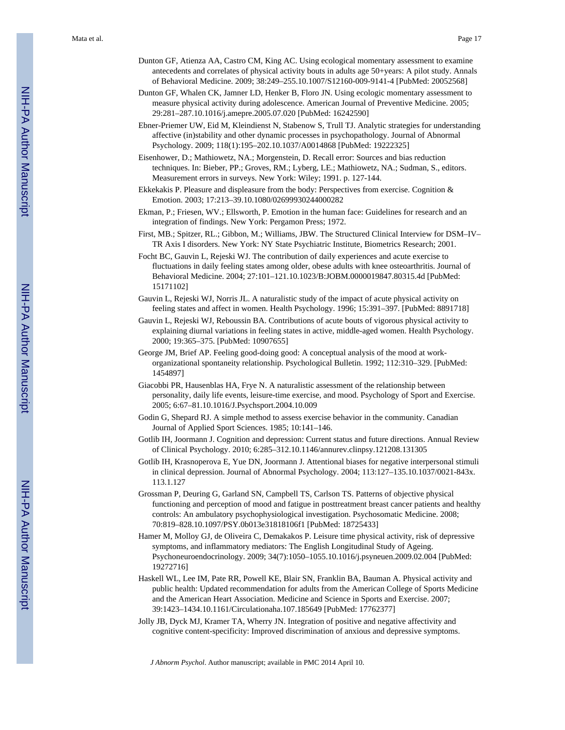- Dunton GF, Atienza AA, Castro CM, King AC. Using ecological momentary assessment to examine antecedents and correlates of physical activity bouts in adults age 50+years: A pilot study. Annals of Behavioral Medicine. 2009; 38:249–255.10.1007/S12160-009-9141-4 [PubMed: 20052568]
- Dunton GF, Whalen CK, Jamner LD, Henker B, Floro JN. Using ecologic momentary assessment to measure physical activity during adolescence. American Journal of Preventive Medicine. 2005; 29:281–287.10.1016/j.amepre.2005.07.020 [PubMed: 16242590]
- Ebner-Priemer UW, Eid M, Kleindienst N, Stabenow S, Trull TJ. Analytic strategies for understanding affective (in)stability and other dynamic processes in psychopathology. Journal of Abnormal Psychology. 2009; 118(1):195–202.10.1037/A0014868 [PubMed: 19222325]
- Eisenhower, D.; Mathiowetz, NA.; Morgenstein, D. Recall error: Sources and bias reduction techniques. In: Bieber, PP.; Groves, RM.; Lyberg, LE.; Mathiowetz, NA.; Sudman, S., editors. Measurement errors in surveys. New York: Wiley; 1991. p. 127-144.
- Ekkekakis P. Pleasure and displeasure from the body: Perspectives from exercise. Cognition & Emotion. 2003; 17:213–39.10.1080/02699930244000282
- Ekman, P.; Friesen, WV.; Ellsworth, P. Emotion in the human face: Guidelines for research and an integration of findings. New York: Pergamon Press; 1972.
- First, MB.; Spitzer, RL.; Gibbon, M.; Williams, JBW. The Structured Clinical Interview for DSM–IV– TR Axis I disorders. New York: NY State Psychiatric Institute, Biometrics Research; 2001.
- Focht BC, Gauvin L, Rejeski WJ. The contribution of daily experiences and acute exercise to fluctuations in daily feeling states among older, obese adults with knee osteoarthritis. Journal of Behavioral Medicine. 2004; 27:101–121.10.1023/B:JOBM.0000019847.80315.4d [PubMed: 15171102]
- Gauvin L, Rejeski WJ, Norris JL. A naturalistic study of the impact of acute physical activity on feeling states and affect in women. Health Psychology. 1996; 15:391–397. [PubMed: 8891718]
- Gauvin L, Rejeski WJ, Reboussin BA. Contributions of acute bouts of vigorous physical activity to explaining diurnal variations in feeling states in active, middle-aged women. Health Psychology. 2000; 19:365–375. [PubMed: 10907655]
- George JM, Brief AP. Feeling good-doing good: A conceptual analysis of the mood at workorganizational spontaneity relationship. Psychological Bulletin. 1992; 112:310–329. [PubMed: 1454897]
- Giacobbi PR, Hausenblas HA, Frye N. A naturalistic assessment of the relationship between personality, daily life events, leisure-time exercise, and mood. Psychology of Sport and Exercise. 2005; 6:67–81.10.1016/J.Psychsport.2004.10.009
- Godin G, Shepard RJ. A simple method to assess exercise behavior in the community. Canadian Journal of Applied Sport Sciences. 1985; 10:141–146.
- Gotlib IH, Joormann J. Cognition and depression: Current status and future directions. Annual Review of Clinical Psychology. 2010; 6:285–312.10.1146/annurev.clinpsy.121208.131305
- Gotlib IH, Krasnoperova E, Yue DN, Joormann J. Attentional biases for negative interpersonal stimuli in clinical depression. Journal of Abnormal Psychology. 2004; 113:127–135.10.1037/0021-843x. 113.1.127
- Grossman P, Deuring G, Garland SN, Campbell TS, Carlson TS. Patterns of objective physical functioning and perception of mood and fatigue in posttreatment breast cancer patients and healthy controls: An ambulatory psychophysiological investigation. Psychosomatic Medicine. 2008; 70:819–828.10.1097/PSY.0b013e31818106f1 [PubMed: 18725433]
- Hamer M, Molloy GJ, de Oliveira C, Demakakos P. Leisure time physical activity, risk of depressive symptoms, and inflammatory mediators: The English Longitudinal Study of Ageing. Psychoneuroendocrinology. 2009; 34(7):1050–1055.10.1016/j.psyneuen.2009.02.004 [PubMed: 19272716]
- Haskell WL, Lee IM, Pate RR, Powell KE, Blair SN, Franklin BA, Bauman A. Physical activity and public health: Updated recommendation for adults from the American College of Sports Medicine and the American Heart Association. Medicine and Science in Sports and Exercise. 2007; 39:1423–1434.10.1161/Circulationaha.107.185649 [PubMed: 17762377]
- Jolly JB, Dyck MJ, Kramer TA, Wherry JN. Integration of positive and negative affectivity and cognitive content-specificity: Improved discrimination of anxious and depressive symptoms.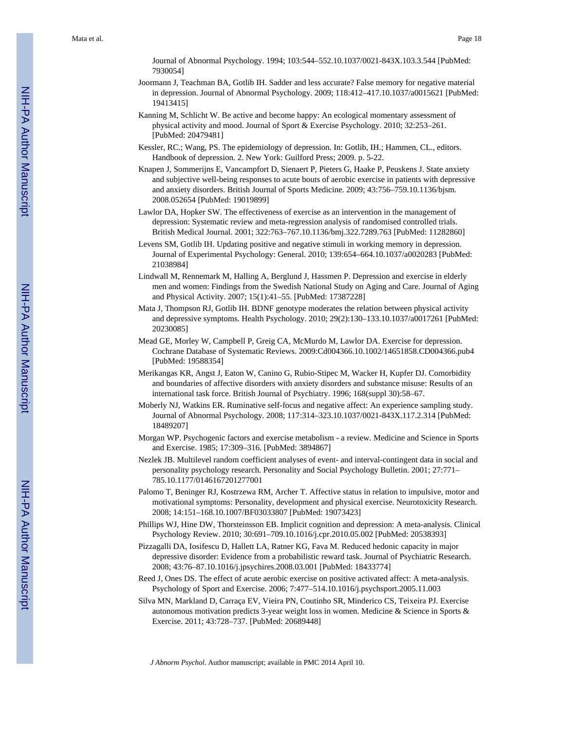Journal of Abnormal Psychology. 1994; 103:544–552.10.1037/0021-843X.103.3.544 [PubMed: 7930054]

- Joormann J, Teachman BA, Gotlib IH. Sadder and less accurate? False memory for negative material in depression. Journal of Abnormal Psychology. 2009; 118:412–417.10.1037/a0015621 [PubMed: 19413415]
- Kanning M, Schlicht W. Be active and become happy: An ecological momentary assessment of physical activity and mood. Journal of Sport & Exercise Psychology. 2010; 32:253–261. [PubMed: 20479481]
- Kessler, RC.; Wang, PS. The epidemiology of depression. In: Gotlib, IH.; Hammen, CL., editors. Handbook of depression. 2. New York: Guilford Press; 2009. p. 5-22.
- Knapen J, Sommerijns E, Vancampfort D, Sienaert P, Pieters G, Haake P, Peuskens J. State anxiety and subjective well-being responses to acute bouts of aerobic exercise in patients with depressive and anxiety disorders. British Journal of Sports Medicine. 2009; 43:756–759.10.1136/bjsm. 2008.052654 [PubMed: 19019899]
- Lawlor DA, Hopker SW. The effectiveness of exercise as an intervention in the management of depression: Systematic review and meta-regression analysis of randomised controlled trials. British Medical Journal. 2001; 322:763–767.10.1136/bmj.322.7289.763 [PubMed: 11282860]
- Levens SM, Gotlib IH. Updating positive and negative stimuli in working memory in depression. Journal of Experimental Psychology: General. 2010; 139:654–664.10.1037/a0020283 [PubMed: 21038984]
- Lindwall M, Rennemark M, Halling A, Berglund J, Hassmen P. Depression and exercise in elderly men and women: Findings from the Swedish National Study on Aging and Care. Journal of Aging and Physical Activity. 2007; 15(1):41–55. [PubMed: 17387228]
- Mata J, Thompson RJ, Gotlib IH. BDNF genotype moderates the relation between physical activity and depressive symptoms. Health Psychology. 2010; 29(2):130–133.10.1037/a0017261 [PubMed: 20230085]
- Mead GE, Morley W, Campbell P, Greig CA, McMurdo M, Lawlor DA. Exercise for depression. Cochrane Database of Systematic Reviews. 2009:Cd004366.10.1002/14651858.CD004366.pub4 [PubMed: 19588354]
- Merikangas KR, Angst J, Eaton W, Canino G, Rubio-Stipec M, Wacker H, Kupfer DJ. Comorbidity and boundaries of affective disorders with anxiety disorders and substance misuse: Results of an international task force. British Journal of Psychiatry. 1996; 168(suppl 30):58–67.
- Moberly NJ, Watkins ER. Ruminative self-focus and negative affect: An experience sampling study. Journal of Abnormal Psychology. 2008; 117:314–323.10.1037/0021-843X.117.2.314 [PubMed: 18489207]
- Morgan WP. Psychogenic factors and exercise metabolism a review. Medicine and Science in Sports and Exercise. 1985; 17:309–316. [PubMed: 3894867]
- Nezlek JB. Multilevel random coefficient analyses of event- and interval-contingent data in social and personality psychology research. Personality and Social Psychology Bulletin. 2001; 27:771– 785.10.1177/0146167201277001
- Palomo T, Beninger RJ, Kostrzewa RM, Archer T. Affective status in relation to impulsive, motor and motivational symptoms: Personality, development and physical exercise. Neurotoxicity Research. 2008; 14:151–168.10.1007/BF03033807 [PubMed: 19073423]
- Phillips WJ, Hine DW, Thorsteinsson EB. Implicit cognition and depression: A meta-analysis. Clinical Psychology Review. 2010; 30:691–709.10.1016/j.cpr.2010.05.002 [PubMed: 20538393]
- Pizzagalli DA, Iosifescu D, Hallett LA, Ratner KG, Fava M. Reduced hedonic capacity in major depressive disorder: Evidence from a probabilistic reward task. Journal of Psychiatric Research. 2008; 43:76–87.10.1016/j.jpsychires.2008.03.001 [PubMed: 18433774]
- Reed J, Ones DS. The effect of acute aerobic exercise on positive activated affect: A meta-analysis. Psychology of Sport and Exercise. 2006; 7:477–514.10.1016/j.psychsport.2005.11.003
- Silva MN, Markland D, Carraça EV, Vieira PN, Coutinho SR, Minderico CS, Teixeira PJ. Exercise autonomous motivation predicts 3-year weight loss in women. Medicine & Science in Sports & Exercise. 2011; 43:728–737. [PubMed: 20689448]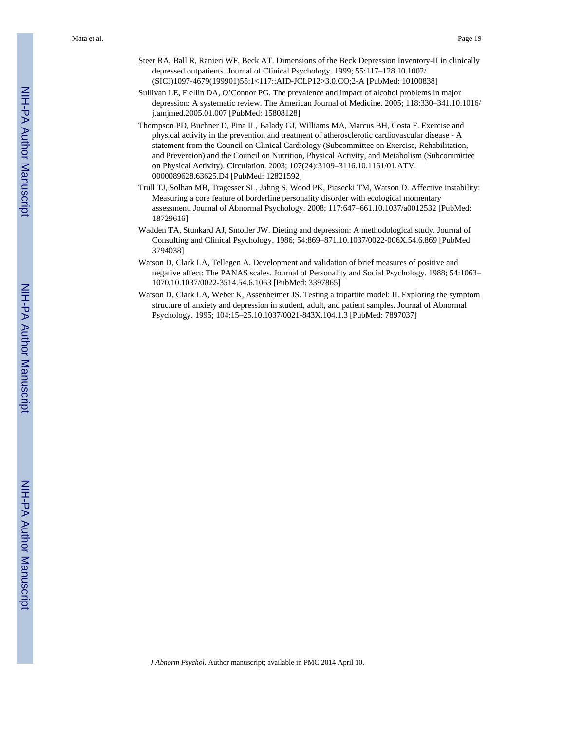- Steer RA, Ball R, Ranieri WF, Beck AT. Dimensions of the Beck Depression Inventory-II in clinically depressed outpatients. Journal of Clinical Psychology. 1999; 55:117–128.10.1002/ (SICI)1097-4679(199901)55:1<117::AID-JCLP12>3.0.CO;2-A [PubMed: 10100838]
- Sullivan LE, Fiellin DA, O'Connor PG. The prevalence and impact of alcohol problems in major depression: A systematic review. The American Journal of Medicine. 2005; 118:330–341.10.1016/ j.amjmed.2005.01.007 [PubMed: 15808128]
- Thompson PD, Buchner D, Pina IL, Balady GJ, Williams MA, Marcus BH, Costa F. Exercise and physical activity in the prevention and treatment of atherosclerotic cardiovascular disease - A statement from the Council on Clinical Cardiology (Subcommittee on Exercise, Rehabilitation, and Prevention) and the Council on Nutrition, Physical Activity, and Metabolism (Subcommittee on Physical Activity). Circulation. 2003; 107(24):3109–3116.10.1161/01.ATV. 0000089628.63625.D4 [PubMed: 12821592]
- Trull TJ, Solhan MB, Tragesser SL, Jahng S, Wood PK, Piasecki TM, Watson D. Affective instability: Measuring a core feature of borderline personality disorder with ecological momentary assessment. Journal of Abnormal Psychology. 2008; 117:647–661.10.1037/a0012532 [PubMed: 18729616]
- Wadden TA, Stunkard AJ, Smoller JW. Dieting and depression: A methodological study. Journal of Consulting and Clinical Psychology. 1986; 54:869–871.10.1037/0022-006X.54.6.869 [PubMed: 3794038]
- Watson D, Clark LA, Tellegen A. Development and validation of brief measures of positive and negative affect: The PANAS scales. Journal of Personality and Social Psychology. 1988; 54:1063– 1070.10.1037/0022-3514.54.6.1063 [PubMed: 3397865]
- Watson D, Clark LA, Weber K, Assenheimer JS. Testing a tripartite model: II. Exploring the symptom structure of anxiety and depression in student, adult, and patient samples. Journal of Abnormal Psychology. 1995; 104:15–25.10.1037/0021-843X.104.1.3 [PubMed: 7897037]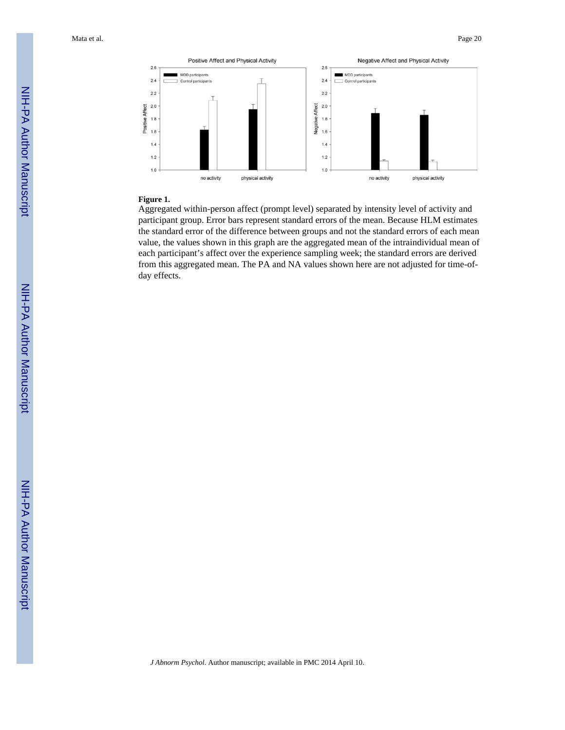Mata et al. Page 20



#### **Figure 1.**

Aggregated within-person affect (prompt level) separated by intensity level of activity and participant group. Error bars represent standard errors of the mean. Because HLM estimates the standard error of the difference between groups and not the standard errors of each mean value, the values shown in this graph are the aggregated mean of the intraindividual mean of each participant's affect over the experience sampling week; the standard errors are derived from this aggregated mean. The PA and NA values shown here are not adjusted for time-ofday effects.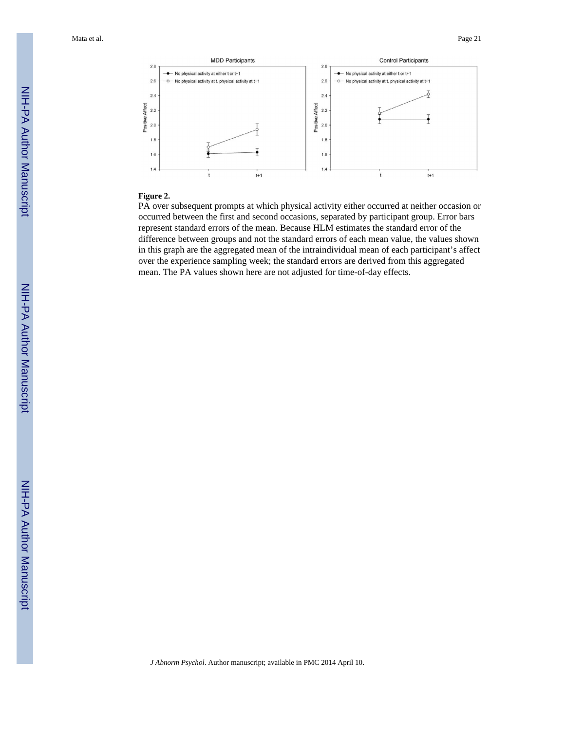Mata et al. Page 21



## **Figure 2.**

PA over subsequent prompts at which physical activity either occurred at neither occasion or occurred between the first and second occasions, separated by participant group. Error bars represent standard errors of the mean. Because HLM estimates the standard error of the difference between groups and not the standard errors of each mean value, the values shown in this graph are the aggregated mean of the intraindividual mean of each participant's affect over the experience sampling week; the standard errors are derived from this aggregated mean. The PA values shown here are not adjusted for time-of-day effects.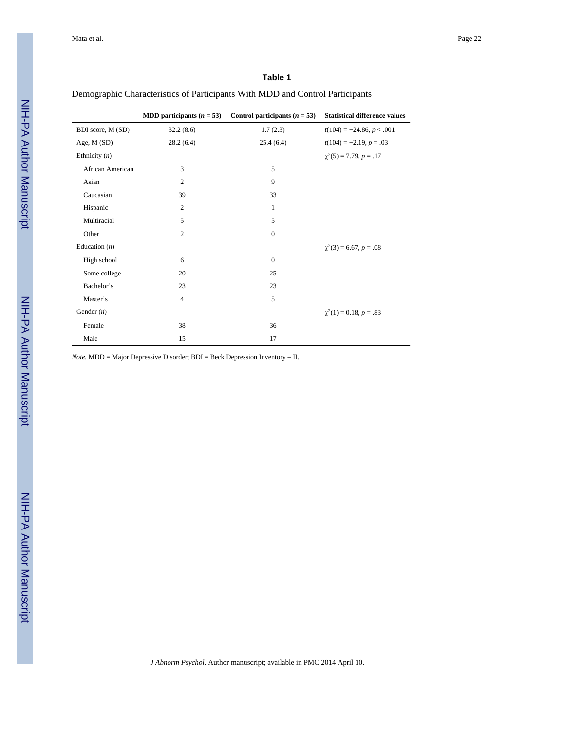# **Table 1**

Demographic Characteristics of Participants With MDD and Control Participants

|                   | MDD participants $(n = 53)$ | Control participants ( $n = 53$ ) | <b>Statistical difference values</b> |
|-------------------|-----------------------------|-----------------------------------|--------------------------------------|
| BDI score, M (SD) | 32.2(8.6)                   | 1.7(2.3)                          | $t(104) = -24.86, p < .001$          |
| Age, M (SD)       | 28.2(6.4)                   | 25.4(6.4)                         | $t(104) = -2.19, p = .03$            |
| Ethnicity $(n)$   |                             |                                   | $\gamma^2(5) = 7.79, p = .17$        |
| African American  | 3                           | 5                                 |                                      |
| Asian             | $\overline{c}$              | 9                                 |                                      |
| Caucasian         | 39                          | 33                                |                                      |
| Hispanic          | $\overline{c}$              | 1                                 |                                      |
| Multiracial       | 5                           | 5                                 |                                      |
| Other             | 2                           | $\mathbf{0}$                      |                                      |
| Education $(n)$   |                             |                                   | $\chi^2(3) = 6.67, p = .08$          |
| High school       | 6                           | $\mathbf{0}$                      |                                      |
| Some college      | 20                          | 25                                |                                      |
| Bachelor's        | 23                          | 23                                |                                      |
| Master's          | 4                           | 5                                 |                                      |
| Gender $(n)$      |                             |                                   | $\chi^2(1) = 0.18, p = .83$          |
| Female            | 38                          | 36                                |                                      |
| Male              | 15                          | 17                                |                                      |

*Note.* MDD = Major Depressive Disorder; BDI = Beck Depression Inventory – II.